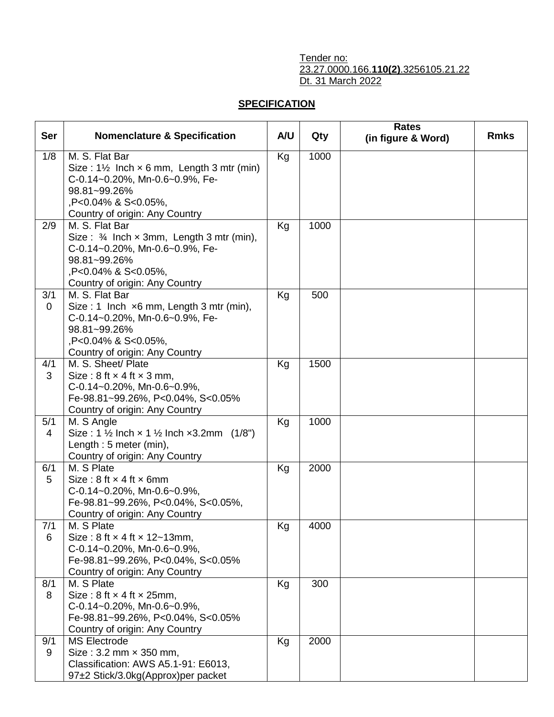## Tender no: 23.27.0000.166.**110(2)**.3256105.21.22 Dt. 31 March 2022

## **SPECIFICATION**

| <b>Ser</b> | <b>Nomenclature &amp; Specification</b>                                                                                                                                                  | A/U | Qty  | <b>Rates</b><br>(in figure & Word) | <b>Rmks</b> |
|------------|------------------------------------------------------------------------------------------------------------------------------------------------------------------------------------------|-----|------|------------------------------------|-------------|
| 1/8        | M. S. Flat Bar<br>Size: $1\frac{1}{2}$ Inch $\times$ 6 mm, Length 3 mtr (min)<br>C-0.14~0.20%, Mn-0.6~0.9%, Fe-<br>98.81~99.26%<br>,P<0.04% & S<0.05%,<br>Country of origin: Any Country | Kg  | 1000 |                                    |             |
| 2/9        | M. S. Flat Bar<br>Size: $\frac{3}{4}$ Inch x 3mm, Length 3 mtr (min),<br>C-0.14~0.20%, Mn-0.6~0.9%, Fe-<br>98.81~99.26%<br>,P<0.04% & S<0.05%,<br>Country of origin: Any Country         | Kg  | 1000 |                                    |             |
| 3/1<br>0   | M. S. Flat Bar<br>Size: 1 Inch $\times$ 6 mm, Length 3 mtr (min),<br>C-0.14~0.20%, Mn-0.6~0.9%, Fe-<br>98.81~99.26%<br>,P<0.04% & S<0.05%,<br>Country of origin: Any Country             | Kg  | 500  |                                    |             |
| 4/1<br>3   | M. S. Sheet/ Plate<br>Size: $8$ ft $\times$ 4 ft $\times$ 3 mm,<br>C-0.14~0.20%, Mn-0.6~0.9%,<br>Fe-98.81~99.26%, P<0.04%, S<0.05%<br>Country of origin: Any Country                     | Kg  | 1500 |                                    |             |
| 5/1<br>4   | M. S Angle<br>Size : 1 $\frac{1}{2}$ Inch x 1 $\frac{1}{2}$ Inch x3.2mm (1/8")<br>Length: 5 meter (min),<br>Country of origin: Any Country                                               | Kg  | 1000 |                                    |             |
| 6/1<br>5   | M. S Plate<br>Size: $8$ ft $\times$ 4 ft $\times$ 6mm<br>C-0.14~0.20%, Mn-0.6~0.9%,<br>Fe-98.81~99.26%, P<0.04%, S<0.05%,<br>Country of origin: Any Country                              | Kg  | 2000 |                                    |             |
| 7/1<br>6   | M. S Plate<br>Size: $8$ ft $\times$ 4 ft $\times$ 12~13mm,<br>C-0.14~0.20%, Mn-0.6~0.9%,<br>Fe-98.81~99.26%, P<0.04%, S<0.05%<br>Country of origin: Any Country                          | Kg  | 4000 |                                    |             |
| 8/1<br>8   | M. S Plate<br>Size: $8$ ft $\times$ 4 ft $\times$ 25mm,<br>C-0.14~0.20%, Mn-0.6~0.9%,<br>Fe-98.81~99.26%, P<0.04%, S<0.05%<br>Country of origin: Any Country                             | Kg  | 300  |                                    |             |
| 9/1<br>9   | <b>MS Electrode</b><br>Size: 3.2 mm × 350 mm,<br>Classification: AWS A5.1-91: E6013,<br>97±2 Stick/3.0kg(Approx)per packet                                                               | Kg  | 2000 |                                    |             |